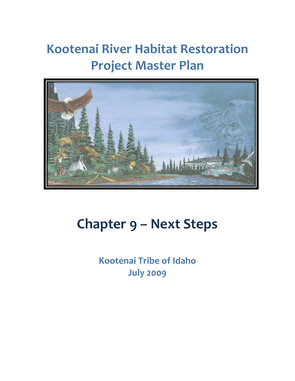# **Kootenai River Habitat Restoration Project Master Plan**



# **Chapter 9 – Next Steps**

**Kootenai Tribe of Idaho July 2009**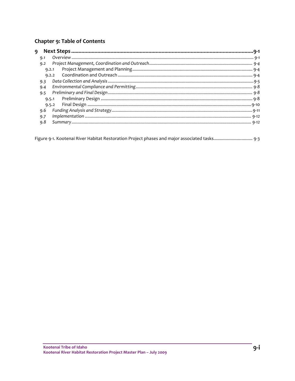### Chapter 9: Table of Contents

| 9     |  |
|-------|--|
| 9.1   |  |
| 9.2   |  |
| 9.2.1 |  |
| 9.2.2 |  |
| 9.3   |  |
| 9.4   |  |
| 9.5   |  |
| 9.5.1 |  |
| 9.5.2 |  |
| 9.6   |  |
| 9.7   |  |
| 9.8   |  |
|       |  |

|  |  |  |  |  | Figure 9-1. Kootenai River Habitat Restoration Project phases and major associated tasks 9-3 |  |
|--|--|--|--|--|----------------------------------------------------------------------------------------------|--|
|  |  |  |  |  |                                                                                              |  |
|  |  |  |  |  |                                                                                              |  |
|  |  |  |  |  |                                                                                              |  |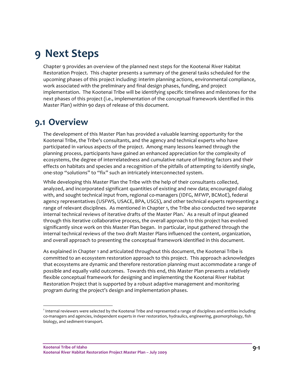## **9 Next Steps**

Chapter 9 provides an overview of the planned next steps for the Kootenai River Habitat Restoration Project. This chapter presents a summary of the general tasks scheduled for the upcoming phases of this project including: interim planning actions, environmental compliance, work associated with the preliminary and final design phases, funding, and project implementation. The Kootenai Tribe will be identifying specific timelines and milestones for the next phases of this project (i.e., implementation of the conceptual framework identified in this Master Plan) within 90 days of release of this document.

## **9.1 Overview**

The development of this Master Plan has provided a valuable learning opportunity for the Kootenai Tribe, the Tribe's consultants, and the agency and technical experts who have participated in various aspects of the project. Among many lessons learned through the planning process, participants have gained an enhanced appreciation for the complexity of ecosystems, the degree of interrelatedness and cumulative nature of limiting factors and their effects on habitats and species and a recognition of the pitfalls of attempting to identify single, one‐stop "solutions" to "fix" such an intricately interconnected system.

While developing this Master Plan the Tribe with the help of their consultants collected, analyzed, and incorporated significant quantities of existing and new data; encouraged dialog with, and sought technical input from, regional co-managers (IDFG, MFWP, BCMoE), federal agency representatives (USFWS, USACE, BPA, USGS), and other technical experts representing a range of relevant disciplines. As mentioned in Chapter 1, the Tribe also conducted two separate internal technical reviews of iterative drafts of the Master Plan.<sup>1</sup> As a result of input gleaned through this iterative collaborative process, the overall approach to this project has evolved significantly since work on this Master Plan began. In particular, input gathered through the internal technical reviews of the two draft Master Plans influenced the content, organization, and overall approach to presenting the conceptual framework identified in this document.

As explained in Chapter 1 and articulated throughout this document, the Kootenai Tribe is committed to an ecosystem restoration approach to this project. This approach acknowledges that ecosystems are dynamic and therefore restoration planning must accommodate a range of possible and equally valid outcomes. Towards this end, this Master Plan presents a relatively flexible conceptual framework for designing and implementing the Kootenai River Habitat Restoration Project that is supported by a robust adaptive management and monitoring program during the project's design and implementation phases.

<u> Andrew Maria (1989)</u>

<sup>&</sup>lt;sup>1</sup> Internal reviewers were selected by the Kootenai Tribe and represented a range of disciplines and entities including co-managers and agencies, independent experts in river restoration, hydraulics, engineering, geomorphology, fish biology, and sediment‐transport.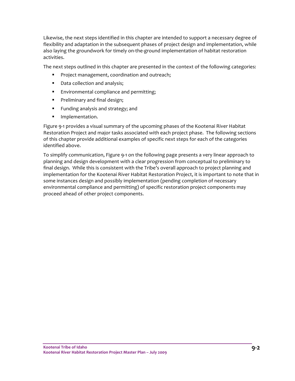Likewise, the next steps identified in this chapter are intended to support a necessary degree of flexibility and adaptation in the subsequent phases of project design and implementation, while also laying the groundwork for timely on‐the‐ground implementation of habitat restoration activities.

The next steps outlined in this chapter are presented in the context of the following categories:

- **Project management, coordination and outreach;**
- **Data collection and analysis;**
- **Environmental compliance and permitting;**
- **•** Preliminary and final design;
- **Funding analysis and strategy; and**
- **Implementation.**

Figure 9‐1 provides a visual summary of the upcoming phases of the Kootenai River Habitat Restoration Project and major tasks associated with each project phase. The following sections of this chapter provide additional examples of specific next steps for each of the categories identified above.

To simplify communication, Figure 9‐1 on the following page presents a very linear approach to planning and design development with a clear progression from conceptual to preliminary to final design. While this is consistent with the Tribe's overall approach to project planning and implementation for the Kootenai River Habitat Restoration Project, it is important to note that in some instances design and possibly implementation (pending completion of necessary environmental compliance and permitting) of specific restoration project components may proceed ahead of other project components.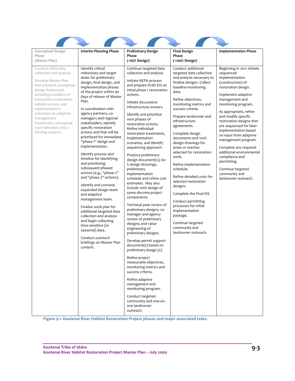| Conceptual Design<br>Phase<br>(Master Plan)                                                                                                                                                                                                                                                                                           | <b>Interim Planning Phase</b>                                                                                                                                                                                                                                                                                                                                                                                                                                                                                                                                                                                                                                                                                                                                                                                                                                                    | <b>Preliminary Design</b><br>Phase<br>(~60% Design)                                                                                                                                                                                                                                                                                                                                                                                                                                                                                                                                                                                                                                                                                                                                                                                                                                                                                                                                                                                                                                                               | <b>Final Design</b><br>Phase<br>(~100% Design)                                                                                                                                                                                                                                                                                                                                                                                                                                                                                                                                                                                                                               | <b>Implementation Phase</b>                                                                                                                                                                                                                                                                                                                                                                                                                                                                              |
|---------------------------------------------------------------------------------------------------------------------------------------------------------------------------------------------------------------------------------------------------------------------------------------------------------------------------------------|----------------------------------------------------------------------------------------------------------------------------------------------------------------------------------------------------------------------------------------------------------------------------------------------------------------------------------------------------------------------------------------------------------------------------------------------------------------------------------------------------------------------------------------------------------------------------------------------------------------------------------------------------------------------------------------------------------------------------------------------------------------------------------------------------------------------------------------------------------------------------------|-------------------------------------------------------------------------------------------------------------------------------------------------------------------------------------------------------------------------------------------------------------------------------------------------------------------------------------------------------------------------------------------------------------------------------------------------------------------------------------------------------------------------------------------------------------------------------------------------------------------------------------------------------------------------------------------------------------------------------------------------------------------------------------------------------------------------------------------------------------------------------------------------------------------------------------------------------------------------------------------------------------------------------------------------------------------------------------------------------------------|------------------------------------------------------------------------------------------------------------------------------------------------------------------------------------------------------------------------------------------------------------------------------------------------------------------------------------------------------------------------------------------------------------------------------------------------------------------------------------------------------------------------------------------------------------------------------------------------------------------------------------------------------------------------------|----------------------------------------------------------------------------------------------------------------------------------------------------------------------------------------------------------------------------------------------------------------------------------------------------------------------------------------------------------------------------------------------------------------------------------------------------------------------------------------------------------|
| Conduct initial data<br>collection and analysis.<br>Develop Master Plan<br>that presents conceptual<br>design framework<br>including a toolbox of<br>restoration treatments,<br>habitat actions, and<br>implementation<br>scenarios; an adaptive<br>management<br>framework; conceptual<br>cost estimates; and a<br>funding analysis. | Identify critical<br>milestones and target<br>dates for preliminary<br>design, final design, and<br>implementation phases<br>of the project within 90<br>days of release of Master<br>Plan.<br>In coordination with<br>agency partners, co-<br>managers and regional<br>stakeholders, identify<br>specific restoration<br>actions and that will be<br>prioritized for immediate<br>"phase 1" design and<br>implementation.<br>Identify process and<br>timeline for identifying<br>and prioritizing<br>subsequent phased<br>actions (e.g., "phase 2"<br>and "phase 3" actions).<br>Identify and convene<br>expanded design team<br>and adaptive<br>management team.<br>Finalize work plan for<br>additional targeted data<br>collection and analysis<br>and begin collecting<br>time-sensitive (or<br>seasonal) data.<br>Conduct outreach<br>briefings on Master Plan<br>content. | Continue targeted data<br>collection and analysis.<br>Initiate NEPA process<br>and prepare Draft EIS on<br>initial phase 1 restoration<br>actions.<br>Initiate discussions<br>infrastructure owners.<br>Identify and prioritize<br>next phases of<br>restoration actions.<br>Refine individual<br>restoration treatments,<br>implementation<br>scenarios, and identify<br>sequencing approach.<br>Produce preliminary<br>design document(s), 60<br>% design drawings,<br>preliminary<br>implementation<br>schedule and refine cost<br>estimates. May also<br>include 100% design of<br>some discrete project<br>components.<br>Technical peer review of<br>preliminary designs; co-<br>manager and agency<br>review of preliminary<br>designs; and value<br>engineering of<br>preliminary designs.<br>Develop permit support<br>document(s) based on<br>preliminary design (s).<br>Refine project<br>measurable objectives,<br>monitoring metrics and<br>success criteria.<br>Refine adaptive<br>management and<br>monitoring program.<br>Conduct targeted<br>community and one-on-<br>one landowner<br>outreach. | Conduct additional<br>targeted data collection<br>and analysis necessary to<br>finalize designs. Collect<br>baseline-monitoring<br>data.<br>Refine objectives,<br>monitoring metrics and<br>success criteria.<br>Prepare landowner and<br>infrastructure<br>agreements.<br>Complete design<br>documents and 100%<br>design drawings for<br>areas or reaches<br>selected for restoration<br>work.<br>Refine implementation<br>schedule.<br>Refine detailed costs for<br>selected restoration<br>designs.<br>Complete the Final EIS.<br>Conduct permitting<br>processes for initial<br>implementation<br>package.<br>Continue targeted<br>community and<br>landowner outreach. | Beginning in 2012 initiate<br>sequenced<br>implementation<br>(construction) of<br>restoration design.<br>Implement adaptive<br>management and<br>monitoring program.<br>As appropriate, refine<br>and modify specific<br>restoration designs that<br>are sequenced for later<br>implementation based<br>on input from adaptive<br>management program.<br>Complete any required<br>additional environmental<br>compliance and<br>permitting.<br>Continue targeted<br>community and<br>landowner outreach. |

**Figure 9‐1. Kootenai River Habitat Restoration Project phases and major associated tasks.**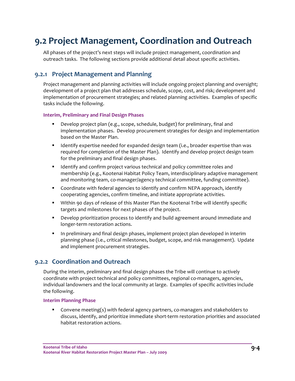## **9.2 Project Management, Coordination and Outreach**

All phases of the project's next steps will include project management, coordination and outreach tasks. The following sections provide additional detail about specific activities.

#### **9.2.1 Project Management and Planning**

Project management and planning activities will include ongoing project planning and oversight; development of a project plan that addresses schedule, scope, cost, and risk; development and implementation of procurement strategies; and related planning activities. Examples of specific tasks include the following.

#### **Interim, Preliminary and Final Design Phases**

- Develop project plan (e.g., scope, schedule, budget) for preliminary, final and implementation phases. Develop procurement strategies for design and implementation based on the Master Plan.
- **If all identify expertise needed for expanded design team (i.e., broader expertise than was** required for completion of the Master Plan). Identify and develop project design team for the preliminary and final design phases.
- **If all identify and confirm project various technical and policy committee roles and** membership (e.g., Kootenai Habitat Policy Team, interdisciplinary adaptive management and monitoring team, co-manager/agency technical committee, funding committee).
- **Coordinate with federal agencies to identify and confirm NEPA approach, identify** cooperating agencies, confirm timeline, and initiate appropriate activities.
- Within 90 days of release of this Master Plan the Kootenai Tribe will identify specific targets and milestones for next phases of the project.
- Develop prioritization process to identify and build agreement around immediate and longer‐term restoration actions.
- In preliminary and final design phases, implement project plan developed in interim planning phase (i.e., critical milestones, budget, scope, and risk management). Update and implement procurement strategies.

#### **9.2.2 Coordination and Outreach**

During the interim, preliminary and final design phases the Tribe will continue to actively coordinate with project technical and policy committees, regional co-managers, agencies, individual landowners and the local community at large. Examples of specific activities include the following.

#### **Interim Planning Phase**

■ Convene meeting(s) with federal agency partners, co-managers and stakeholders to discuss, identify, and prioritize immediate short‐term restoration priorities and associated habitat restoration actions.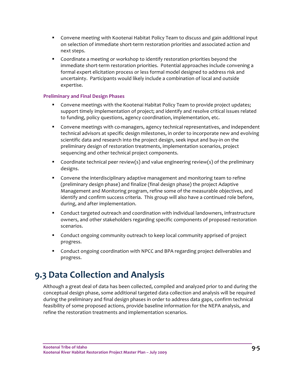- Convene meeting with Kootenai Habitat Policy Team to discuss and gain additional input on selection of immediate short-term restoration priorities and associated action and next steps.
- Coordinate a meeting or workshop to identify restoration priorities beyond the immediate short‐term restoration priorities. Potential approaches include convening a formal expert elicitation process or less formal model designed to address risk and uncertainty. Participants would likely include a combination of local and outside expertise.

#### **Preliminary and Final Design Phases**

- **Convene meetings with the Kootenai Habitat Policy Team to provide project updates;** support timely implementation of project; and identify and resolve critical issues related to funding, policy questions, agency coordination, implementation, etc.
- Convene meetings with co-managers, agency technical representatives, and independent technical advisors at specific design milestones, in order to incorporate new and evolving scientific data and research into the project design, seek input and buy-in on the preliminary design of restoration treatments, implementation scenarios, project sequencing and other technical project components.
- Coordinate technical peer review(s) and value engineering review(s) of the preliminary designs.
- **Convene the interdisciplinary adaptive management and monitoring team to refine** (preliminary design phase) and finalize (final design phase) the project Adaptive Management and Monitoring program, refine some of the measurable objectives, and identify and confirm success criteria. This group will also have a continued role before, during, and after implementation.
- Conduct targeted outreach and coordination with individual landowners, infrastructure owners, and other stakeholders regarding specific components of proposed restoration scenarios.
- **•** Conduct ongoing community outreach to keep local community apprised of project progress.
- **•** Conduct ongoing coordination with NPCC and BPA regarding project deliverables and progress.

## **9.3 Data Collection and Analysis**

Although a great deal of data has been collected, compiled and analyzed prior to and during the conceptual design phase, some additional targeted data collection and analysis will be required during the preliminary and final design phases in order to address data gaps, confirm technical feasibility of some proposed actions, provide baseline information for the NEPA analysis, and refine the restoration treatments and implementation scenarios.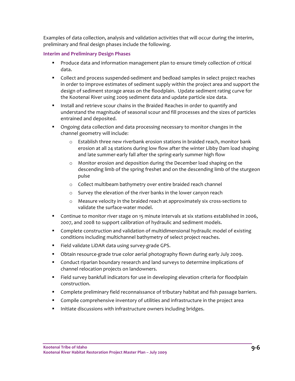Examples of data collection, analysis and validation activities that will occur during the interim, preliminary and final design phases include the following.

#### **Interim and Preliminary Design Phases**

- **Produce data and information management plan to ensure timely collection of critical** data.
- Collect and process suspended-sediment and bedload samples in select project reaches in order to improve estimates of sediment supply within the project area and support the design of sediment storage areas on the floodplain. Update sediment rating curve for the Kootenai River using 2009 sediment data and update particle size data.
- **Install and retrieve scour chains in the Braided Reaches in order to quantify and** understand the magnitude of seasonal scour and fill processes and the sizes of particles entrained and deposited.
- **•** Ongoing data collection and data processing necessary to monitor changes in the channel geometry will include:
	- o Establish three new riverbank erosion stations in braided reach, monitor bank erosion at all 24 stations during low flow after the winter Libby Dam load shaping and late summer‐early fall after the spring‐early summer high flow
	- o Monitor erosion and deposition during the December load shaping on the descending limb of the spring freshet and on the descending limb of the sturgeon pulse
	- o Collect multibeam bathymetry over entire braided reach channel
	- o Survey the elevation of the river banks in the lower canyon reach
	- o Measure velocity in the braided reach at approximately six cross‐sections to validate the surface‐water model.
- Continue to monitor river stage on 15 minute intervals at six stations established in 2006, 2007, and 2008 to support calibration of hydraulic and sediment models.
- Complete construction and validation of multidimensional hydraulic model of existing conditions including multichannel bathymetry of select project reaches.
- Field validate LiDAR data using survey-grade GPS.
- Obtain resource-grade true color aerial photography flown during early July 2009.
- Conduct riparian boundary research and land surveys to determine implications of channel relocation projects on landowners.
- Field survey bankfull indicators for use in developing elevation criteria for floodplain construction.
- Complete preliminary field reconnaissance of tributary habitat and fish passage barriers.
- **Compile comprehensive inventory of utilities and infrastructure in the project area**
- **Initiate discussions with infrastructure owners including bridges.**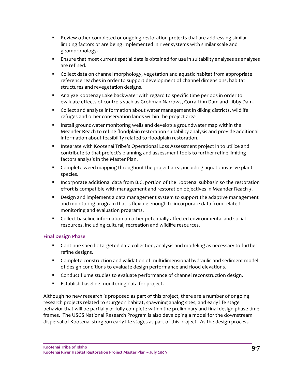- Review other completed or ongoing restoration projects that are addressing similar limiting factors or are being implemented in river systems with similar scale and geomorphology.
- Ensure that most current spatial data is obtained for use in suitability analyses as analyses are refined.
- **Collect data on channel morphology, vegetation and aquatic habitat from appropriate** reference reaches in order to support development of channel dimensions, habitat structures and revegetation designs.
- Analyze Kootenay Lake backwater with regard to specific time periods in order to evaluate effects of controls such as Grohman Narrows, Corra Linn Dam and Libby Dam.
- Collect and analyze information about water management in diking districts, wildlife refuges and other conservation lands within the project area
- **Install groundwater monitoring wells and develop a groundwater map within the** Meander Reach to refine floodplain restoration suitability analysis and provide additional information about feasibility related to floodplain restoration.
- **Integrate with Kootenai Tribe's Operational Loss Assessment project in to utilize and** contribute to that project's planning and assessment tools to further refine limiting factors analysis in the Master Plan.
- Complete weed mapping throughout the project area, including aquatic invasive plant species.
- **Incorporate additional data from B.C. portion of the Kootenai subbasin so the restoration** effort is compatible with management and restoration objectives in Meander Reach 3.
- **Design and implement a data management system to support the adaptive management** and monitoring program that is flexible enough to incorporate data from related monitoring and evaluation programs.
- Collect baseline information on other potentially affected environmental and social resources, including cultural, recreation and wildlife resources.

#### **Final Design Phase**

- Continue specific targeted data collection, analysis and modeling as necessary to further refine designs.
- **Complete construction and validation of multidimensional hydraulic and sediment model** of design conditions to evaluate design performance and flood elevations.
- **Conduct flume studies to evaluate performance of channel reconstruction design.**
- Establish baseline-monitoring data for project.

Although no new research is proposed as part of this project, there are a number of ongoing research projects related to sturgeon habitat, spawning analog sites, and early life stage behavior that will be partially or fully complete within the preliminary and final design phase time frames. The USGS National Research Program is also developing a model for the downstream dispersal of Kootenai sturgeon early life stages as part of this project. As the design process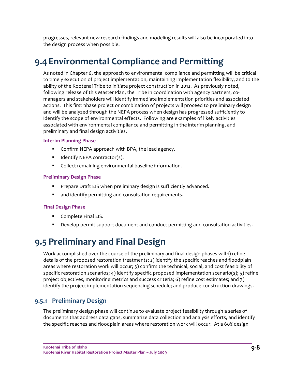progresses, relevant new research findings and modeling results will also be incorporated into the design process when possible.

## **9.4Environmental Compliance and Permitting**

As noted in Chapter 6, the approach to environmental compliance and permitting will be critical to timely execution of project implementation, maintaining implementation flexibility, and to the ability of the Kootenai Tribe to initiate project construction in 2012. As previously noted, following release of this Master Plan, the Tribe in coordination with agency partners, comanagers and stakeholders will identify immediate implementation priorities and associated actions. This first phase project or combination of projects will proceed to preliminary design and will be analyzed through the NEPA process when design has progressed sufficiently to identify the scope of environmental effects. Following are examples of likely activities associated with environmental compliance and permitting in the interim planning, and preliminary and final design activities.

#### **Interim Planning Phase**

- **Confirm NEPA approach with BPA, the lead agency.**
- $\blacksquare$  Identify NEPA contractor(s).
- Collect remaining environmental baseline information.

#### **Preliminary Design Phase**

- **Prepare Draft EIS when preliminary design is sufficiently advanced.**
- and identify permitting and consultation requirements.

#### **Final Design Phase**

- **Complete Final EIS.**
- **PED 2** Develop permit support document and conduct permitting and consultation activities.

## **9.5 Preliminary and Final Design**

Work accomplished over the course of the preliminary and final design phases will 1) refine details of the proposed restoration treatments; 2) identify the specific reaches and floodplain areas where restoration work will occur; 3) confirm the technical, social, and cost feasibility of specific restoration scenarios; 4) identify specific proposed implementation scenario(s); 5) refine project objectives, monitoring metrics and success criteria; 6) refine cost estimates; and 7) identify the project implementation sequencing schedule; and produce construction drawings.

#### **9.5.1 Preliminary Design**

The preliminary design phase will continue to evaluate project feasibility through a series of documents that address data gaps, summarize data collection and analysis efforts, and identify the specific reaches and floodplain areas where restoration work will occur. At a 60% design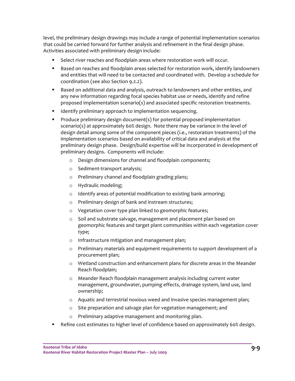level, the preliminary design drawings may include a range of potential implementation scenarios that could be carried forward for further analysis and refinement in the final design phase. Activities associated with preliminary design include:

- **Select river reaches and floodplain areas where restoration work will occur.**
- **Based on reaches and floodplain areas selected for restoration work, identify landowners** and entities that will need to be contacted and coordinated with. Develop a schedule for coordination (see also Section 9.2.2).
- **Based on additional data and analysis, outreach to landowners and other entities, and** any new information regarding focal species habitat use or needs, identify and refine proposed implementation scenario(s) and associated specific restoration treatments.
- **IDENTIFY IDENTIFY IS ADDED** Intertion sequencing.
- Produce preliminary design document(s) for potential proposed implementation scenario(s) at approximately 60% design. Note there may be variance in the level of design detail among some of the component pieces (i.e., restoration treatments) of the implementation scenarios based on availability of critical data and analysis at the preliminary design phase. Design/build expertise will be incorporated in development of preliminary designs. Components will include:
	- o Design dimensions for channel and floodplain components;
	- o Sediment‐transport analysis;
	- o Preliminary channel and floodplain grading plans;
	- o Hydraulic modeling;
	- o Identify areas of potential modification to existing bank armoring;
	- o Preliminary design of bank and instream structures;
	- o Vegetation cover type plan linked to geomorphic features;
	- o Soil and substrate salvage, management and placement plan based on geomorphic features and target plant communities within each vegetation cover type;
	- o Infrastructure mitigation and management plan;
	- o Preliminary materials and equipment requirements to support development of a procurement plan;
	- o Wetland construction and enhancement plans for discrete areas in the Meander Reach floodplain;
	- o Meander Reach floodplain management analysis including current water management, groundwater, pumping effects, drainage system, land use, land ownership;
	- o Aquatic and terrestrial noxious weed and invasive species management plan;
	- o Site preparation and salvage plan for vegetation management; and
	- o Preliminary adaptive management and monitoring plan.
- **Paragely 1** Refine cost estimates to higher level of confidence based on approximately 60% design.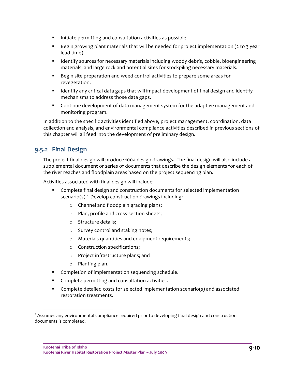- Initiate permitting and consultation activities as possible.
- **Begin growing plant materials that will be needed for project implementation (2 to 3 year** lead time).
- **If Identify sources for necessary materials including woody debris, cobble, bioengineering** materials, and large rock and potential sites for stockpiling necessary materials.
- Begin site preparation and weed control activities to prepare some areas for revegetation.
- **I** Identify any critical data gaps that will impact development of final design and identify mechanisms to address those data gaps.
- Continue development of data management system for the adaptive management and monitoring program.

In addition to the specific activities identified above, project management, coordination, data collection and analysis, and environmental compliance activities described in previous sections of this chapter will all feed into the development of preliminary design.

#### **9.5.2 Final Design**

The project final design will produce 100% design drawings. The final design will also include a supplemental document or series of documents that describe the design elements for each of the river reaches and floodplain areas based on the project sequencing plan.

Activities associated with final design will include:

- **Complete final design and construction documents for selected implementation** scenario(s).<sup>2</sup> Develop construction drawings including:
	- o Channel and floodplain grading plans;
	- o Plan, profile and cross‐section sheets;
	- o Structure details;
	- o Survey control and staking notes;
	- o Materials quantities and equipment requirements;
	- o Construction specifications;
	- o Project infrastructure plans; and
	- o Planting plan.

<u> Andrew Maria (1989)</u>

- **Completion of implementation sequencing schedule.**
- **Complete permitting and consultation activities.**
- Complete detailed costs for selected implementation scenario(s) and associated restoration treatments.

<sup>&</sup>lt;sup>2</sup> Assumes any environmental compliance required prior to developing final design and construction documents is completed.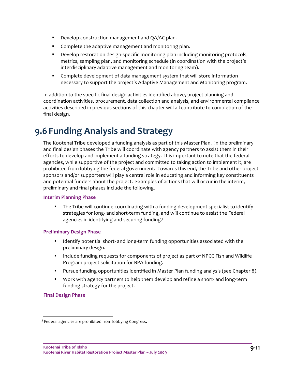- Develop construction management and QA/AC plan.
- **Complete the adaptive management and monitoring plan.**
- Develop restoration design-specific monitoring plan including monitoring protocols, metrics, sampling plan, and monitoring schedule (in coordination with the project's interdisciplinary adaptive management and monitoring team).
- Complete development of data management system that will store information necessary to support the project's Adaptive Management and Monitoring program.

In addition to the specific final design activities identified above, project planning and coordination activities, procurement, data collection and analysis, and environmental compliance activities described in previous sections of this chapter will all contribute to completion of the final design.

## **9.6 Funding Analysis and Strategy**

The Kootenai Tribe developed a funding analysis as part of this Master Plan. In the preliminary and final design phases the Tribe will coordinate with agency partners to assist them in their efforts to develop and implement a funding strategy. It is important to note that the federal agencies, while supportive of the project and committed to taking action to implement it, are prohibited from lobbying the federal government. Towards this end, the Tribe and other project sponsors and/or supporters will play a central role in educating and informing key constituents and potential funders about the project. Examples of actions that will occur in the interim, preliminary and final phases include the following.

#### **Interim Planning Phase**

 The Tribe will continue coordinating with a funding development specialist to identify strategies for long‐ and short‐term funding, and will continue to assist the Federal agencies in identifying and securing funding.<sup>3</sup>

#### **Preliminary Design Phase**

- Identify potential short‐ and long‐term funding opportunities associated with the preliminary design.
- **Include funding requests for components of project as part of NPCC Fish and Wildlife** Program project solicitation for BPA funding.
- Pursue funding opportunities identified in Master Plan funding analysis (see Chapter 8).
- Work with agency partners to help them develop and refine a short- and long-term funding strategy for the project.

#### **Final Design Phase**

<sup>&</sup>lt;sup>3</sup> Federal agencies are prohibited from lobbying Congress.